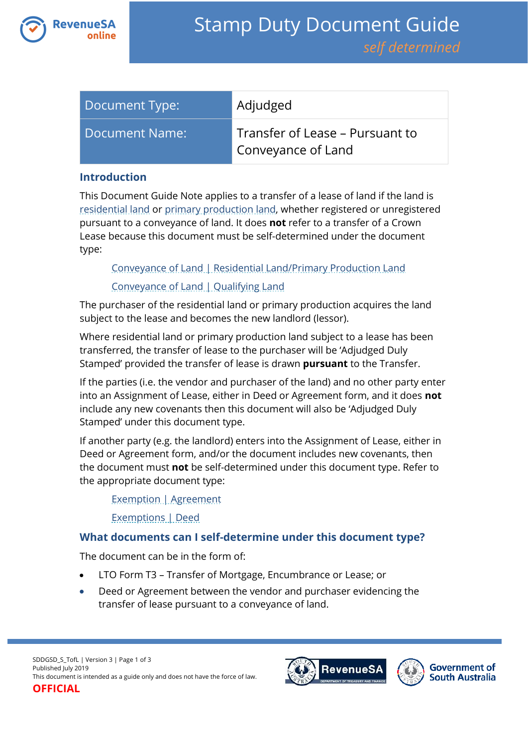

# Stamp Duty Document Guide

| Document Type:   | Adjudged                                              |
|------------------|-------------------------------------------------------|
| Document Name: ˈ | Transfer of Lease – Pursuant to<br>Conveyance of Land |

#### **Introduction**

This Document Guide Note applies to a transfer of a lease of land if the land is [residential land](https://www.revenuesa.sa.gov.au/stampduty/stamp-duty-document-guide#RR&PP) or [primary production land,](https://www.revenuesa.sa.gov.au/stampduty/stamp-duty-document-guide#RR&PP) whether registered or unregistered pursuant to a conveyance of land. It does **not** refer to a transfer of a Crown Lease because this document must be self-determined under the document type:

[Conveyance of Land | Residential Land/Primary Production Land](https://www.revenuesa.sa.gov.au/stampduty/stamp-duty-document-guide/self-determined/conveyance-of-land/sddgsd_cl_rpp)

### [Conveyance of Land | Qualifying Land](https://www.revenuesa.sa.gov.au/stampduty/stamp-duty-document-guide/self-determined/conveyance-of-land/sddgsd_cl_ql)

The purchaser of the residential land or primary production acquires the land subject to the lease and becomes the new landlord (lessor).

Where residential land or primary production land subject to a lease has been transferred, the transfer of lease to the purchaser will be 'Adjudged Duly Stamped' provided the transfer of lease is drawn **pursuant** to the Transfer.

If the parties (i.e. the vendor and purchaser of the land) and no other party enter into an Assignment of Lease, either in Deed or Agreement form, and it does **not**  include any new covenants then this document will also be 'Adjudged Duly Stamped' under this document type.

If another party (e.g. the landlord) enters into the Assignment of Lease, either in Deed or Agreement form, and/or the document includes new covenants, then the document must **not** be self-determined under this document type. Refer to the appropriate document type:

#### [Exemption | Agreement](https://www.revenuesa.sa.gov.au/stampduty/stamp-duty-document-guide/self-determined/exemptions/sddgsd_ex_a)

#### [Exemptions | Deed](https://www.revenuesa.sa.gov.au/stampduty/stamp-duty-document-guide/self-determined/exemptions/sddgsd_ex_d)

# **What documents can I self-determine under this document type?**

The document can be in the form of:

- LTO Form T3 Transfer of Mortgage, Encumbrance or Lease; or
- Deed or Agreement between the vendor and purchaser evidencing the transfer of lease pursuant to a conveyance of land.



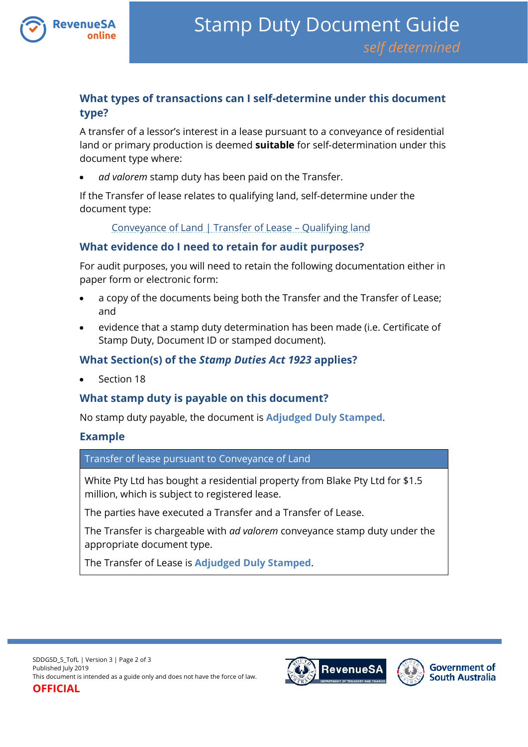

# **What types of transactions can I self-determine under this document type?**

A transfer of a lessor's interest in a lease pursuant to a conveyance of residential land or primary production is deemed **suitable** for self-determination under this document type where:

*ad valorem* stamp duty has been paid on the Transfer.

If the Transfer of lease relates to qualifying land, self-determine under the document type:

[Conveyance of Land | Transfer of Lease](https://www.revenuesa.sa.gov.au/stampduty/stamp-duty-document-guide/self-determined/conveyance-of-land/sddgsd_cl_tofl_ql) – Qualifying land

# **What evidence do I need to retain for audit purposes?**

For audit purposes, you will need to retain the following documentation either in paper form or electronic form:

- a copy of the documents being both the Transfer and the Transfer of Lease; and
- evidence that a stamp duty determination has been made (i.e. Certificate of Stamp Duty, Document ID or stamped document).

# **What Section(s) of the** *Stamp Duties Act 1923* **applies?**

Section 18

# **What stamp duty is payable on this document?**

No stamp duty payable, the document is **Adjudged Duly Stamped**.

#### **Example**

Transfer of lease pursuant to Conveyance of Land

White Pty Ltd has bought a residential property from Blake Pty Ltd for \$1.5 million, which is subject to registered lease.

The parties have executed a Transfer and a Transfer of Lease.

The Transfer is chargeable with *ad valorem* conveyance stamp duty under the appropriate document type.

The Transfer of Lease is **Adjudged Duly Stamped**.